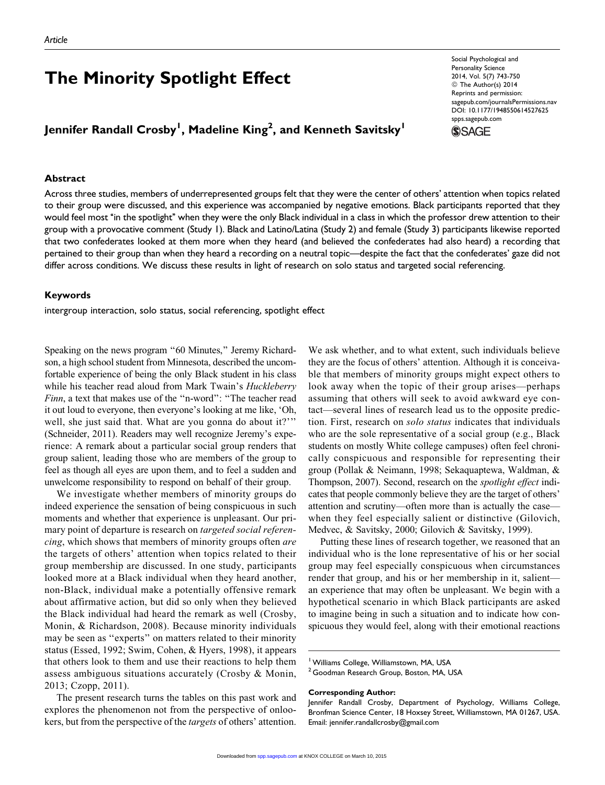# The Minority Spotlight Effect

## Jennifer Randall Crosby<sup>l</sup>, Madeline King<sup>2</sup>, and Kenneth Savitsky<sup>l</sup>

#### Abstract

Social Psychological and Personality Science 2014, Vol. 5(7) 743-750 © The Author(s) 2014 Reprints and permission: [sagepub.com/journalsPermissions.nav](http://www.sagepub.com/journalsPermissions.nav) DOI: 10.1177/1948550614527625 [spps.sagepub.com](http://spps.sagepub.com)

**SSAGE** 

Across three studies, members of underrepresented groups felt that they were the center of others' attention when topics related to their group were discussed, and this experience was accompanied by negative emotions. Black participants reported that they would feel most ''in the spotlight'' when they were the only Black individual in a class in which the professor drew attention to their group with a provocative comment (Study 1). Black and Latino/Latina (Study 2) and female (Study 3) participants likewise reported that two confederates looked at them more when they heard (and believed the confederates had also heard) a recording that pertained to their group than when they heard a recording on a neutral topic—despite the fact that the confederates' gaze did not differ across conditions. We discuss these results in light of research on solo status and targeted social referencing.

#### Keywords

intergroup interaction, solo status, social referencing, spotlight effect

Speaking on the news program "60 Minutes," Jeremy Richardson, a high school student from Minnesota, described the uncomfortable experience of being the only Black student in his class while his teacher read aloud from Mark Twain's Huckleberry Finn, a text that makes use of the ''n-word'': ''The teacher read it out loud to everyone, then everyone's looking at me like, 'Oh, well, she just said that. What are you gonna do about it?" (Schneider, 2011). Readers may well recognize Jeremy's experience: A remark about a particular social group renders that group salient, leading those who are members of the group to feel as though all eyes are upon them, and to feel a sudden and unwelcome responsibility to respond on behalf of their group.

We investigate whether members of minority groups do indeed experience the sensation of being conspicuous in such moments and whether that experience is unpleasant. Our primary point of departure is research on *targeted social referen*cing, which shows that members of minority groups often are the targets of others' attention when topics related to their group membership are discussed. In one study, participants looked more at a Black individual when they heard another, non-Black, individual make a potentially offensive remark about affirmative action, but did so only when they believed the Black individual had heard the remark as well (Crosby, Monin, & Richardson, 2008). Because minority individuals may be seen as ''experts'' on matters related to their minority status (Essed, 1992; Swim, Cohen, & Hyers, 1998), it appears that others look to them and use their reactions to help them assess ambiguous situations accurately (Crosby & Monin, 2013; Czopp, 2011).

The present research turns the tables on this past work and explores the phenomenon not from the perspective of onlookers, but from the perspective of the *targets* of others' attention.

We ask whether, and to what extent, such individuals believe they are the focus of others' attention. Although it is conceivable that members of minority groups might expect others to look away when the topic of their group arises—perhaps assuming that others will seek to avoid awkward eye contact—several lines of research lead us to the opposite prediction. First, research on *solo status* indicates that individuals who are the sole representative of a social group (e.g., Black students on mostly White college campuses) often feel chronically conspicuous and responsible for representing their group (Pollak & Neimann, 1998; Sekaquaptewa, Waldman, & Thompson, 2007). Second, research on the *spotlight effect* indicates that people commonly believe they are the target of others' attention and scrutiny—often more than is actually the case when they feel especially salient or distinctive (Gilovich, Medvec, & Savitsky, 2000; Gilovich & Savitsky, 1999).

Putting these lines of research together, we reasoned that an individual who is the lone representative of his or her social group may feel especially conspicuous when circumstances render that group, and his or her membership in it, salient an experience that may often be unpleasant. We begin with a hypothetical scenario in which Black participants are asked to imagine being in such a situation and to indicate how conspicuous they would feel, along with their emotional reactions

<sup>&</sup>lt;sup>1</sup> Williams College, Williamstown, MA, USA

<sup>&</sup>lt;sup>2</sup> Goodman Research Group, Boston, MA, USA

Corresponding Author:

Jennifer Randall Crosby, Department of Psychology, Williams College, Bronfman Science Center, 18 Hoxsey Street, Williamstown, MA 01267, USA. Email: jennifer.randallcrosby@gmail.com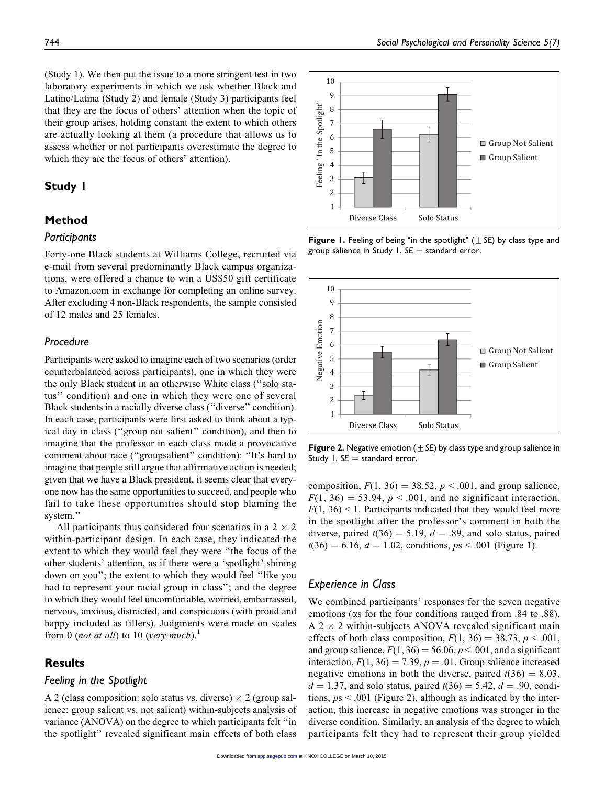(Study 1). We then put the issue to a more stringent test in two laboratory experiments in which we ask whether Black and Latino/Latina (Study 2) and female (Study 3) participants feel that they are the focus of others' attention when the topic of their group arises, holding constant the extent to which others are actually looking at them (a procedure that allows us to assess whether or not participants overestimate the degree to which they are the focus of others' attention).

### Study 1

### Method

#### Participants

Forty-one Black students at Williams College, recruited via e-mail from several predominantly Black campus organizations, were offered a chance to win a US\$50 gift certificate to Amazon.com in exchange for completing an online survey. After excluding 4 non-Black respondents, the sample consisted of 12 males and 25 females.

### Procedure

Participants were asked to imagine each of two scenarios (order counterbalanced across participants), one in which they were the only Black student in an otherwise White class (''solo status'' condition) and one in which they were one of several Black students in a racially diverse class (''diverse'' condition). In each case, participants were first asked to think about a typical day in class (''group not salient'' condition), and then to imagine that the professor in each class made a provocative comment about race (''groupsalient'' condition): ''It's hard to imagine that people still argue that affirmative action is needed; given that we have a Black president, it seems clear that everyone now has the same opportunities to succeed, and people who fail to take these opportunities should stop blaming the system.''

All participants thus considered four scenarios in a  $2 \times 2$ within-participant design. In each case, they indicated the extent to which they would feel they were ''the focus of the other students' attention, as if there were a 'spotlight' shining down on you''; the extent to which they would feel ''like you had to represent your racial group in class''; and the degree to which they would feel uncomfortable, worried, embarrassed, nervous, anxious, distracted, and conspicuous (with proud and happy included as fillers). Judgments were made on scales from 0 (not at all) to 10 (very much).<sup>1</sup>

#### **Results**

#### Feeling in the Spotlight

A 2 (class composition: solo status vs. diverse)  $\times$  2 (group salience: group salient vs. not salient) within-subjects analysis of variance (ANOVA) on the degree to which participants felt ''in the spotlight'' revealed significant main effects of both class



**Figure 1.** Feeling of being "in the spotlight" ( $\pm$  SE) by class type and group salience in Study 1.  $SE =$  standard error.



Figure 2. Negative emotion ( $\pm$  SE) by class type and group salience in Study 1.  $SE =$  standard error.

composition,  $F(1, 36) = 38.52$ ,  $p < .001$ , and group salience,  $F(1, 36) = 53.94$ ,  $p < .001$ , and no significant interaction,  $F(1, 36)$  < 1. Participants indicated that they would feel more in the spotlight after the professor's comment in both the diverse, paired  $t(36) = 5.19$ ,  $d = .89$ , and solo status, paired  $t(36) = 6.16, d = 1.02,$  conditions,  $ps < .001$  (Figure 1).

### Experience in Class

We combined participants' responses for the seven negative emotions (as for the four conditions ranged from .84 to .88).  $A$  2  $\times$  2 within-subjects ANOVA revealed significant main effects of both class composition,  $F(1, 36) = 38.73$ ,  $p < .001$ , and group salience,  $F(1, 36) = 56.06$ ,  $p < .001$ , and a significant interaction,  $F(1, 36) = 7.39$ ,  $p = .01$ . Group salience increased negative emotions in both the diverse, paired  $t(36) = 8.03$ ,  $d = 1.37$ , and solo status, paired  $t(36) = 5.42$ ,  $d = .90$ , conditions,  $ps < .001$  (Figure 2), although as indicated by the interaction, this increase in negative emotions was stronger in the diverse condition. Similarly, an analysis of the degree to which participants felt they had to represent their group yielded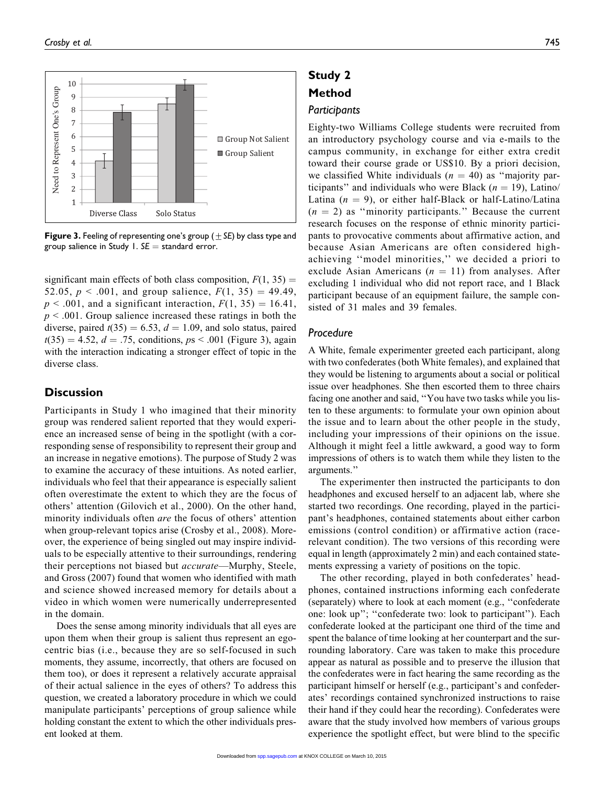

**Figure 3.** Feeling of representing one's group ( $\pm$  SE) by class type and group salience in Study 1.  $SE =$  standard error.

significant main effects of both class composition,  $F(1, 35) =$ 52.05,  $p < .001$ , and group salience,  $F(1, 35) = 49.49$ ,  $p < .001$ , and a significant interaction,  $F(1, 35) = 16.41$ ,  $p \leq 0.001$ . Group salience increased these ratings in both the diverse, paired  $t(35) = 6.53$ ,  $d = 1.09$ , and solo status, paired  $t(35) = 4.52, d = .75,$  conditions,  $ps < .001$  (Figure 3), again with the interaction indicating a stronger effect of topic in the diverse class.

### **Discussion**

Participants in Study 1 who imagined that their minority group was rendered salient reported that they would experience an increased sense of being in the spotlight (with a corresponding sense of responsibility to represent their group and an increase in negative emotions). The purpose of Study 2 was to examine the accuracy of these intuitions. As noted earlier, individuals who feel that their appearance is especially salient often overestimate the extent to which they are the focus of others' attention (Gilovich et al., 2000). On the other hand, minority individuals often *are* the focus of others' attention when group-relevant topics arise (Crosby et al., 2008). Moreover, the experience of being singled out may inspire individuals to be especially attentive to their surroundings, rendering their perceptions not biased but accurate—Murphy, Steele, and Gross (2007) found that women who identified with math and science showed increased memory for details about a video in which women were numerically underrepresented in the domain.

Does the sense among minority individuals that all eyes are upon them when their group is salient thus represent an egocentric bias (i.e., because they are so self-focused in such moments, they assume, incorrectly, that others are focused on them too), or does it represent a relatively accurate appraisal of their actual salience in the eyes of others? To address this question, we created a laboratory procedure in which we could manipulate participants' perceptions of group salience while holding constant the extent to which the other individuals present looked at them.

# Study 2 Method **Participants**

Eighty-two Williams College students were recruited from an introductory psychology course and via e-mails to the campus community, in exchange for either extra credit toward their course grade or US\$10. By a priori decision, we classified White individuals ( $n = 40$ ) as "majority participants" and individuals who were Black ( $n = 19$ ), Latino/ Latina  $(n = 9)$ , or either half-Black or half-Latino/Latina  $(n = 2)$  as "minority participants." Because the current research focuses on the response of ethnic minority participants to provocative comments about affirmative action, and because Asian Americans are often considered highachieving ''model minorities,'' we decided a priori to exclude Asian Americans ( $n = 11$ ) from analyses. After excluding 1 individual who did not report race, and 1 Black participant because of an equipment failure, the sample consisted of 31 males and 39 females.

### Procedure

A White, female experimenter greeted each participant, along with two confederates (both White females), and explained that they would be listening to arguments about a social or political issue over headphones. She then escorted them to three chairs facing one another and said, ''You have two tasks while you listen to these arguments: to formulate your own opinion about the issue and to learn about the other people in the study, including your impressions of their opinions on the issue. Although it might feel a little awkward, a good way to form impressions of others is to watch them while they listen to the arguments.''

The experimenter then instructed the participants to don headphones and excused herself to an adjacent lab, where she started two recordings. One recording, played in the participant's headphones, contained statements about either carbon emissions (control condition) or affirmative action (racerelevant condition). The two versions of this recording were equal in length (approximately 2 min) and each contained statements expressing a variety of positions on the topic.

The other recording, played in both confederates' headphones, contained instructions informing each confederate (separately) where to look at each moment (e.g., ''confederate one: look up''; ''confederate two: look to participant''). Each confederate looked at the participant one third of the time and spent the balance of time looking at her counterpart and the surrounding laboratory. Care was taken to make this procedure appear as natural as possible and to preserve the illusion that the confederates were in fact hearing the same recording as the participant himself or herself (e.g., participant's and confederates' recordings contained synchronized instructions to raise their hand if they could hear the recording). Confederates were aware that the study involved how members of various groups experience the spotlight effect, but were blind to the specific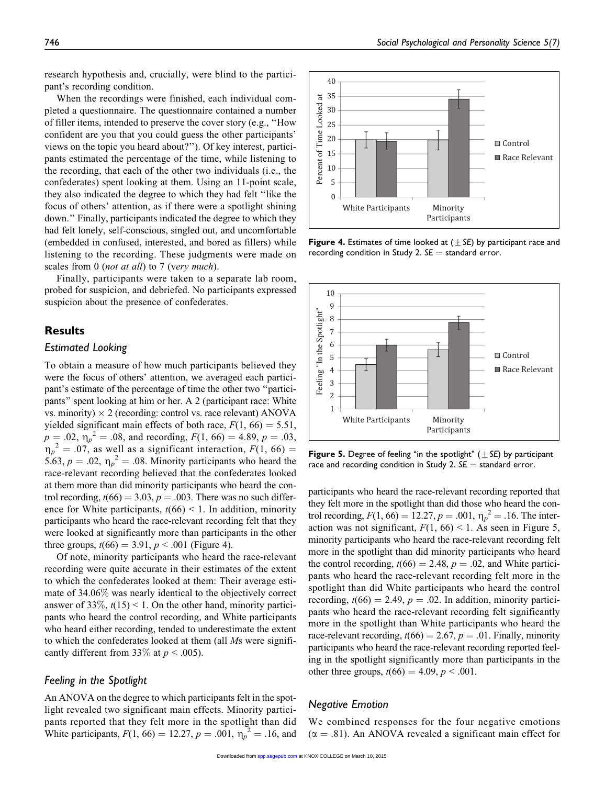research hypothesis and, crucially, were blind to the participant's recording condition.

When the recordings were finished, each individual completed a questionnaire. The questionnaire contained a number of filler items, intended to preserve the cover story (e.g., ''How confident are you that you could guess the other participants' views on the topic you heard about?''). Of key interest, participants estimated the percentage of the time, while listening to the recording, that each of the other two individuals (i.e., the confederates) spent looking at them. Using an 11-point scale, they also indicated the degree to which they had felt ''like the focus of others' attention, as if there were a spotlight shining down.'' Finally, participants indicated the degree to which they had felt lonely, self-conscious, singled out, and uncomfortable (embedded in confused, interested, and bored as fillers) while listening to the recording. These judgments were made on scales from 0 (not at all) to 7 (very much).

Finally, participants were taken to a separate lab room, probed for suspicion, and debriefed. No participants expressed suspicion about the presence of confederates.

#### Results

#### Estimated Looking

To obtain a measure of how much participants believed they were the focus of others' attention, we averaged each participant's estimate of the percentage of time the other two ''participants'' spent looking at him or her. A 2 (participant race: White vs. minority)  $\times$  2 (recording: control vs. race relevant) ANOVA yielded significant main effects of both race,  $F(1, 66) = 5.51$ ,  $p = .02$ ,  $\eta_p^2 = .08$ , and recording,  $F(1, 66) = 4.89$ ,  $p = .03$ ,  $n_p^2 = .07$ , as well as a significant interaction,  $F(1, 66) =$ 5.63,  $p = .02$ ,  $\eta_p^2 = .08$ . Minority participants who heard the race-relevant recording believed that the confederates looked at them more than did minority participants who heard the control recording,  $t(66) = 3.03$ ,  $p = .003$ . There was no such difference for White participants,  $t(66) < 1$ . In addition, minority participants who heard the race-relevant recording felt that they were looked at significantly more than participants in the other three groups,  $t(66) = 3.91$ ,  $p < .001$  (Figure 4).

Of note, minority participants who heard the race-relevant recording were quite accurate in their estimates of the extent to which the confederates looked at them: Their average estimate of 34.06% was nearly identical to the objectively correct answer of 33%,  $t(15) < 1$ . On the other hand, minority participants who heard the control recording, and White participants who heard either recording, tended to underestimate the extent to which the confederates looked at them (all Ms were significantly different from 33\% at  $p < .005$ ).

#### Feeling in the Spotlight

An ANOVA on the degree to which participants felt in the spotlight revealed two significant main effects. Minority participants reported that they felt more in the spotlight than did White participants,  $F(1, 66) = 12.27, p = .001, \eta_p^2 = .16$ , and



Figure 4. Estimates of time looked at  $(\pm S_E)$  by participant race and recording condition in Study 2.  $SE =$  standard error.



**Figure 5.** Degree of feeling "in the spotlight"  $(\pm SE)$  by participant race and recording condition in Study 2.  $SE =$  standard error.

participants who heard the race-relevant recording reported that they felt more in the spotlight than did those who heard the control recording,  $F(1, 66) = 12.27, p = .001, \eta_p^2 = .16$ . The interaction was not significant,  $F(1, 66) < 1$ . As seen in Figure 5, minority participants who heard the race-relevant recording felt more in the spotlight than did minority participants who heard the control recording,  $t(66) = 2.48$ ,  $p = .02$ , and White participants who heard the race-relevant recording felt more in the spotlight than did White participants who heard the control recording,  $t(66) = 2.49$ ,  $p = .02$ . In addition, minority participants who heard the race-relevant recording felt significantly more in the spotlight than White participants who heard the race-relevant recording,  $t(66) = 2.67$ ,  $p = .01$ . Finally, minority participants who heard the race-relevant recording reported feeling in the spotlight significantly more than participants in the other three groups,  $t(66) = 4.09$ ,  $p < .001$ .

#### Negative Emotion

We combined responses for the four negative emotions  $(\alpha = .81)$ . An ANOVA revealed a significant main effect for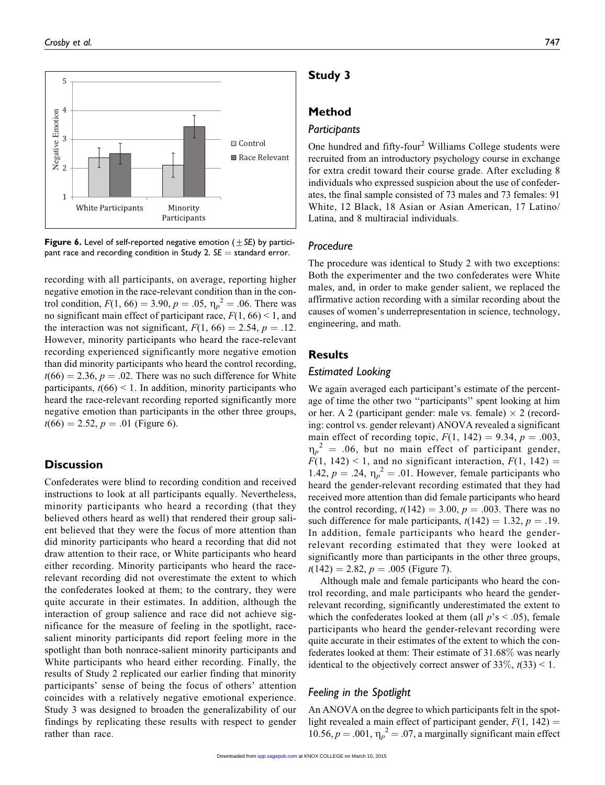

Figure 6. Level of self-reported negative emotion ( $\pm$  SE) by participant race and recording condition in Study 2.  $SE =$  standard error.

recording with all participants, on average, reporting higher negative emotion in the race-relevant condition than in the control condition,  $F(1, 66) = 3.90$ ,  $p = .05$ ,  $\eta_p^2 = .06$ . There was no significant main effect of participant race,  $F(1, 66) < 1$ , and the interaction was not significant,  $F(1, 66) = 2.54$ ,  $p = .12$ . However, minority participants who heard the race-relevant recording experienced significantly more negative emotion than did minority participants who heard the control recording,  $t(66) = 2.36, p = .02$ . There was no such difference for White participants,  $t(66)$  < 1. In addition, minority participants who heard the race-relevant recording reported significantly more negative emotion than participants in the other three groups,  $t(66) = 2.52, p = .01$  (Figure 6).

### **Discussion**

Confederates were blind to recording condition and received instructions to look at all participants equally. Nevertheless, minority participants who heard a recording (that they believed others heard as well) that rendered their group salient believed that they were the focus of more attention than did minority participants who heard a recording that did not draw attention to their race, or White participants who heard either recording. Minority participants who heard the racerelevant recording did not overestimate the extent to which the confederates looked at them; to the contrary, they were quite accurate in their estimates. In addition, although the interaction of group salience and race did not achieve significance for the measure of feeling in the spotlight, racesalient minority participants did report feeling more in the spotlight than both nonrace-salient minority participants and White participants who heard either recording. Finally, the results of Study 2 replicated our earlier finding that minority participants' sense of being the focus of others' attention coincides with a relatively negative emotional experience. Study 3 was designed to broaden the generalizability of our findings by replicating these results with respect to gender rather than race.

### Study 3

### Method

#### Participants

One hundred and fifty-four<sup>2</sup> Williams College students were recruited from an introductory psychology course in exchange for extra credit toward their course grade. After excluding 8 individuals who expressed suspicion about the use of confederates, the final sample consisted of 73 males and 73 females: 91 White, 12 Black, 18 Asian or Asian American, 17 Latino/ Latina, and 8 multiracial individuals.

#### Procedure

The procedure was identical to Study 2 with two exceptions: Both the experimenter and the two confederates were White males, and, in order to make gender salient, we replaced the affirmative action recording with a similar recording about the causes of women's underrepresentation in science, technology, engineering, and math.

### **Results**

#### Estimated Looking

We again averaged each participant's estimate of the percentage of time the other two ''participants'' spent looking at him or her. A 2 (participant gender: male vs. female)  $\times$  2 (recording: control vs. gender relevant) ANOVA revealed a significant main effect of recording topic,  $F(1, 142) = 9.34$ ,  $p = .003$ ,  $\eta_p^2 = .06$ , but no main effect of participant gender,  $F(1, 142)$  < 1, and no significant interaction,  $F(1, 142)$  = 1.42,  $p = .24$ ,  $\eta_p^2 = .01$ . However, female participants who heard the gender-relevant recording estimated that they had received more attention than did female participants who heard the control recording,  $t(142) = 3.00$ ,  $p = .003$ . There was no such difference for male participants,  $t(142) = 1.32$ ,  $p = .19$ . In addition, female participants who heard the genderrelevant recording estimated that they were looked at significantly more than participants in the other three groups,  $t(142) = 2.82, p = .005$  (Figure 7).

Although male and female participants who heard the control recording, and male participants who heard the genderrelevant recording, significantly underestimated the extent to which the confederates looked at them (all  $p$ 's  $\leq$  .05), female participants who heard the gender-relevant recording were quite accurate in their estimates of the extent to which the confederates looked at them: Their estimate of 31.68% was nearly identical to the objectively correct answer of  $33\%, t(33) \leq 1$ .

### Feeling in the Spotlight

An ANOVA on the degree to which participants felt in the spotlight revealed a main effect of participant gender,  $F(1, 142) =$ 10.56,  $p = .001$ ,  $\eta_p^2 = .07$ , a marginally significant main effect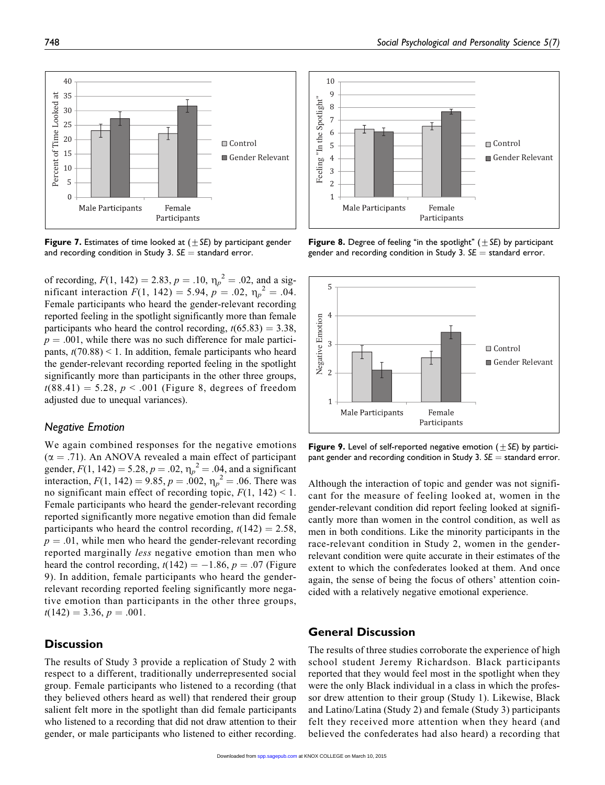

**Figure 7.** Estimates of time looked at  $(\pm SE)$  by participant gender and recording condition in Study 3.  $SE =$  standard error.

of recording,  $F(1, 142) = 2.83$ ,  $p = .10$ ,  $\eta_p^2 = .02$ , and a significant interaction  $F(1, 142) = 5.94$ ,  $p = .02$ ,  $\eta_p^2 = .04$ . Female participants who heard the gender-relevant recording reported feeling in the spotlight significantly more than female participants who heard the control recording,  $t(65.83) = 3.38$ ,  $p = .001$ , while there was no such difference for male participants,  $t(70.88) < 1$ . In addition, female participants who heard the gender-relevant recording reported feeling in the spotlight significantly more than participants in the other three groups,  $t(88.41) = 5.28, p < .001$  (Figure 8, degrees of freedom adjusted due to unequal variances).

### Negative Emotion

We again combined responses for the negative emotions  $(\alpha = .71)$ . An ANOVA revealed a main effect of participant gender,  $F(1, 142) = 5.28$ ,  $p = .02$ ,  $\eta_p^2 = .04$ , and a significant interaction,  $F(1, 142) = 9.85$ ,  $p = .002$ ,  $\eta_p^2 = .06$ . There was no significant main effect of recording topic,  $F(1, 142) < 1$ . Female participants who heard the gender-relevant recording reported significantly more negative emotion than did female participants who heard the control recording,  $t(142) = 2.58$ ,  $p = .01$ , while men who heard the gender-relevant recording reported marginally less negative emotion than men who heard the control recording,  $t(142) = -1.86$ ,  $p = .07$  (Figure 9). In addition, female participants who heard the genderrelevant recording reported feeling significantly more negative emotion than participants in the other three groups,  $t(142) = 3.36, p = .001.$ 

### **Discussion**

The results of Study 3 provide a replication of Study 2 with respect to a different, traditionally underrepresented social group. Female participants who listened to a recording (that they believed others heard as well) that rendered their group salient felt more in the spotlight than did female participants who listened to a recording that did not draw attention to their gender, or male participants who listened to either recording.



**Figure 8.** Degree of feeling "in the spotlight"  $(\pm SE)$  by participant gender and recording condition in Study 3.  $SE =$  standard error.



Figure 9. Level of self-reported negative emotion ( $\pm$  SE) by participant gender and recording condition in Study 3.  $SE =$  standard error.

Although the interaction of topic and gender was not significant for the measure of feeling looked at, women in the gender-relevant condition did report feeling looked at significantly more than women in the control condition, as well as men in both conditions. Like the minority participants in the race-relevant condition in Study 2, women in the genderrelevant condition were quite accurate in their estimates of the extent to which the confederates looked at them. And once again, the sense of being the focus of others' attention coincided with a relatively negative emotional experience.

### General Discussion

The results of three studies corroborate the experience of high school student Jeremy Richardson. Black participants reported that they would feel most in the spotlight when they were the only Black individual in a class in which the professor drew attention to their group (Study 1). Likewise, Black and Latino/Latina (Study 2) and female (Study 3) participants felt they received more attention when they heard (and believed the confederates had also heard) a recording that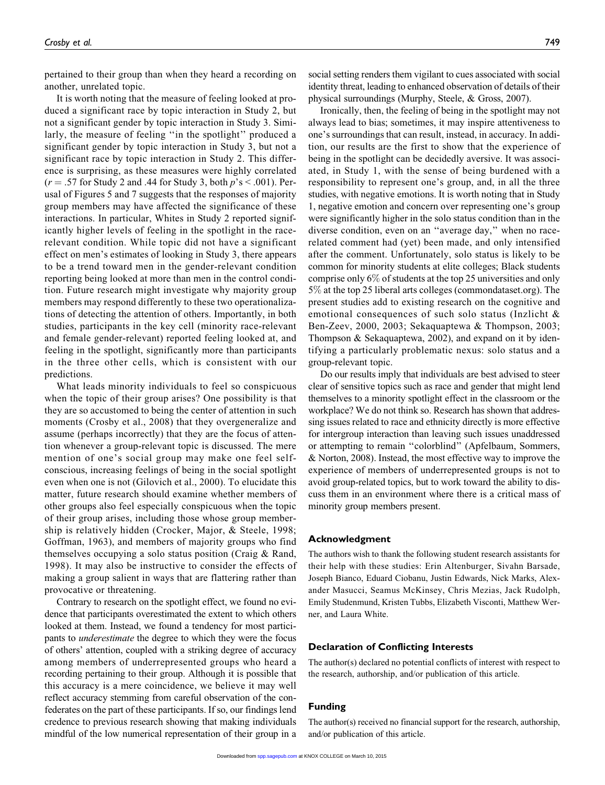pertained to their group than when they heard a recording on another, unrelated topic.

It is worth noting that the measure of feeling looked at produced a significant race by topic interaction in Study 2, but not a significant gender by topic interaction in Study 3. Similarly, the measure of feeling "in the spotlight" produced a significant gender by topic interaction in Study 3, but not a significant race by topic interaction in Study 2. This difference is surprising, as these measures were highly correlated  $(r = .57$  for Study 2 and .44 for Study 3, both  $p's < .001$ ). Perusal of Figures 5 and 7 suggests that the responses of majority group members may have affected the significance of these interactions. In particular, Whites in Study 2 reported significantly higher levels of feeling in the spotlight in the racerelevant condition. While topic did not have a significant effect on men's estimates of looking in Study 3, there appears to be a trend toward men in the gender-relevant condition reporting being looked at more than men in the control condition. Future research might investigate why majority group members may respond differently to these two operationalizations of detecting the attention of others. Importantly, in both studies, participants in the key cell (minority race-relevant and female gender-relevant) reported feeling looked at, and feeling in the spotlight, significantly more than participants in the three other cells, which is consistent with our predictions.

What leads minority individuals to feel so conspicuous when the topic of their group arises? One possibility is that they are so accustomed to being the center of attention in such moments (Crosby et al., 2008) that they overgeneralize and assume (perhaps incorrectly) that they are the focus of attention whenever a group-relevant topic is discussed. The mere mention of one's social group may make one feel selfconscious, increasing feelings of being in the social spotlight even when one is not (Gilovich et al., 2000). To elucidate this matter, future research should examine whether members of other groups also feel especially conspicuous when the topic of their group arises, including those whose group membership is relatively hidden (Crocker, Major, & Steele, 1998; Goffman, 1963), and members of majority groups who find themselves occupying a solo status position (Craig & Rand, 1998). It may also be instructive to consider the effects of making a group salient in ways that are flattering rather than provocative or threatening.

Contrary to research on the spotlight effect, we found no evidence that participants overestimated the extent to which others looked at them. Instead, we found a tendency for most participants to underestimate the degree to which they were the focus of others' attention, coupled with a striking degree of accuracy among members of underrepresented groups who heard a recording pertaining to their group. Although it is possible that this accuracy is a mere coincidence, we believe it may well reflect accuracy stemming from careful observation of the confederates on the part of these participants. If so, our findings lend credence to previous research showing that making individuals mindful of the low numerical representation of their group in a

social setting renders them vigilant to cues associated with social identity threat, leading to enhanced observation of details of their physical surroundings (Murphy, Steele, & Gross, 2007).

Ironically, then, the feeling of being in the spotlight may not always lead to bias; sometimes, it may inspire attentiveness to one's surroundings that can result, instead, in accuracy. In addition, our results are the first to show that the experience of being in the spotlight can be decidedly aversive. It was associated, in Study 1, with the sense of being burdened with a responsibility to represent one's group, and, in all the three studies, with negative emotions. It is worth noting that in Study 1, negative emotion and concern over representing one's group were significantly higher in the solo status condition than in the diverse condition, even on an ''average day,'' when no racerelated comment had (yet) been made, and only intensified after the comment. Unfortunately, solo status is likely to be common for minority students at elite colleges; Black students comprise only 6% of students at the top 25 universities and only 5% at the top 25 liberal arts colleges (commondataset.org). The present studies add to existing research on the cognitive and emotional consequences of such solo status (Inzlicht & Ben-Zeev, 2000, 2003; Sekaquaptewa & Thompson, 2003; Thompson & Sekaquaptewa, 2002), and expand on it by identifying a particularly problematic nexus: solo status and a group-relevant topic.

Do our results imply that individuals are best advised to steer clear of sensitive topics such as race and gender that might lend themselves to a minority spotlight effect in the classroom or the workplace? We do not think so. Research has shown that addressing issues related to race and ethnicity directly is more effective for intergroup interaction than leaving such issues unaddressed or attempting to remain ''colorblind'' (Apfelbaum, Sommers, & Norton, 2008). Instead, the most effective way to improve the experience of members of underrepresented groups is not to avoid group-related topics, but to work toward the ability to discuss them in an environment where there is a critical mass of minority group members present.

#### Acknowledgment

The authors wish to thank the following student research assistants for their help with these studies: Erin Altenburger, Sivahn Barsade, Joseph Bianco, Eduard Ciobanu, Justin Edwards, Nick Marks, Alexander Masucci, Seamus McKinsey, Chris Mezias, Jack Rudolph, Emily Studenmund, Kristen Tubbs, Elizabeth Visconti, Matthew Werner, and Laura White.

#### Declaration of Conflicting Interests

The author(s) declared no potential conflicts of interest with respect to the research, authorship, and/or publication of this article.

#### Funding

The author(s) received no financial support for the research, authorship, and/or publication of this article.